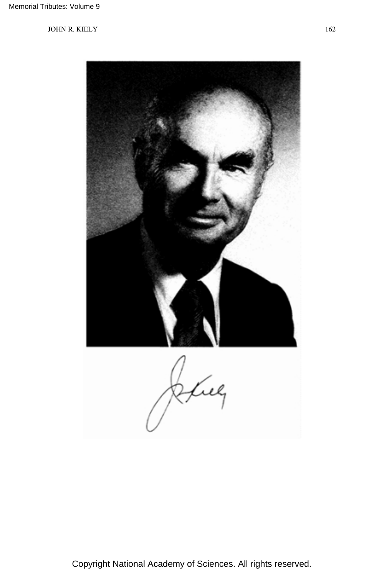

Copyright National Academy of Sciences. All rights reserved.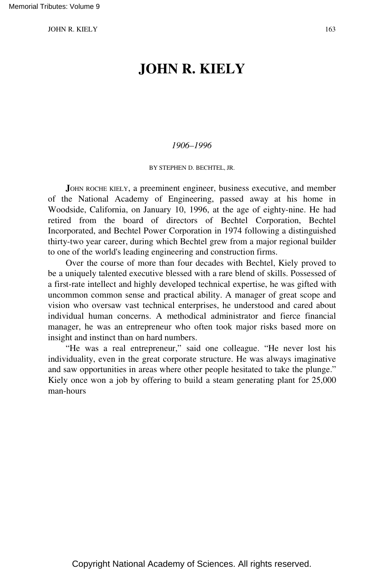# **JOHN R. KIELY**

### *1906–1996*

#### BY STEPHEN D. BECHTEL, JR.

**J**OHN ROCHE KIELY, a preeminent engineer, business executive, and member of the National Academy of Engineering, passed away at his home in Woodside, California, on January 10, 1996, at the age of eighty-nine. He had retired from the board of directors of Bechtel Corporation, Bechtel Incorporated, and Bechtel Power Corporation in 1974 following a distinguished thirty-two year career, during which Bechtel grew from a major regional builder to one of the world's leading engineering and construction firms.

Over the course of more than four decades with Bechtel, Kiely proved to be a uniquely talented executive blessed with a rare blend of skills. Possessed of a first-rate intellect and highly developed technical expertise, he was gifted with uncommon common sense and practical ability. A manager of great scope and vision who oversaw vast technical enterprises, he understood and cared about individual human concerns. A methodical administrator and fierce financial manager, he was an entrepreneur who often took major risks based more on insight and instinct than on hard numbers.

"He was a real entrepreneur," said one colleague. "He never lost his individuality, even in the great corporate structure. He was always imaginative and saw opportunities in areas where other people hesitated to take the plunge." Kiely once won a job by offering to build a steam generating plant for 25,000 man-hours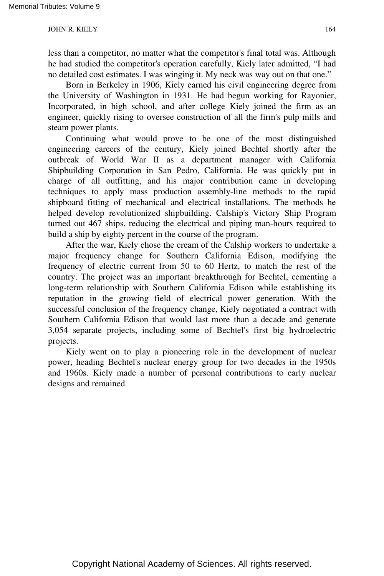less than a competitor, no matter what the competitor's final total was. Although he had studied the competitor's operation carefully, Kiely later admitted, "I had no detailed cost estimates. I was winging it. My neck was way out on that one."

Born in Berkeley in 1906, Kiely earned his civil engineering degree from the University of Washington in 1931. He had begun working for Rayonier, Incorporated, in high school, and after college Kiely joined the firm as an engineer, quickly rising to oversee construction of all the firm's pulp mills and steam power plants.

Continuing what would prove to be one of the most distinguished engineering careers of the century, Kiely joined Bechtel shortly after the outbreak of World War II as a department manager with California Shipbuilding Corporation in San Pedro, California. He was quickly put in charge of all outfitting, and his major contribution came in developing techniques to apply mass production assembly-line methods to the rapid shipboard fitting of mechanical and electrical installations. The methods he helped develop revolutionized shipbuilding. Calship's Victory Ship Program turned out 467 ships, reducing the electrical and piping man-hours required to build a ship by eighty percent in the course of the program.

After the war, Kiely chose the cream of the Calship workers to undertake a major frequency change for Southern California Edison, modifying the frequency of electric current from 50 to 60 Hertz, to match the rest of the country. The project was an important breakthrough for Bechtel, cementing a long-term relationship with Southern California Edison while establishing its reputation in the growing field of electrical power generation. With the successful conclusion of the frequency change, Kiely negotiated a contract with Southern California Edison that would last more than a decade and generate 3,054 separate projects, including some of Bechtel's first big hydroelectric projects.

Kiely went on to play a pioneering role in the development of nuclear power, heading Bechtel's nuclear energy group for two decades in the 1950s and 1960s. Kiely made a number of personal contributions to early nuclear designs and remained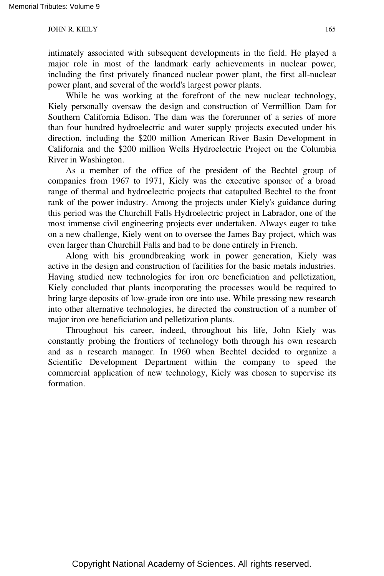intimately associated with subsequent developments in the field. He played a major role in most of the landmark early achievements in nuclear power, including the first privately financed nuclear power plant, the first all-nuclear power plant, and several of the world's largest power plants.

While he was working at the forefront of the new nuclear technology, Kiely personally oversaw the design and construction of Vermillion Dam for Southern California Edison. The dam was the forerunner of a series of more than four hundred hydroelectric and water supply projects executed under his direction, including the \$200 million American River Basin Development in California and the \$200 million Wells Hydroelectric Project on the Columbia River in Washington.

As a member of the office of the president of the Bechtel group of companies from 1967 to 1971, Kiely was the executive sponsor of a broad range of thermal and hydroelectric projects that catapulted Bechtel to the front rank of the power industry. Among the projects under Kiely's guidance during this period was the Churchill Falls Hydroelectric project in Labrador, one of the most immense civil engineering projects ever undertaken. Always eager to take on a new challenge, Kiely went on to oversee the James Bay project, which was even larger than Churchill Falls and had to be done entirely in French.

Along with his groundbreaking work in power generation, Kiely was active in the design and construction of facilities for the basic metals industries. Having studied new technologies for iron ore beneficiation and pelletization, Kiely concluded that plants incorporating the processes would be required to bring large deposits of low-grade iron ore into use. While pressing new research into other alternative technologies, he directed the construction of a number of major iron ore beneficiation and pelletization plants.

Throughout his career, indeed, throughout his life, John Kiely was constantly probing the frontiers of technology both through his own research and as a research manager. In 1960 when Bechtel decided to organize a Scientific Development Department within the company to speed the commercial application of new technology, Kiely was chosen to supervise its formation.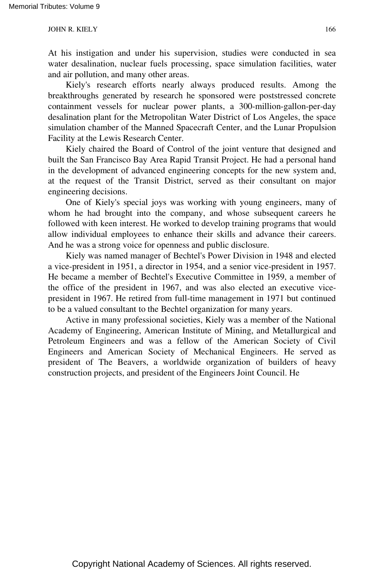At his instigation and under his supervision, studies were conducted in sea water desalination, nuclear fuels processing, space simulation facilities, water and air pollution, and many other areas.

Kiely's research efforts nearly always produced results. Among the breakthroughs generated by research he sponsored were poststressed concrete containment vessels for nuclear power plants, a 300-million-gallon-per-day desalination plant for the Metropolitan Water District of Los Angeles, the space simulation chamber of the Manned Spacecraft Center, and the Lunar Propulsion Facility at the Lewis Research Center.

Kiely chaired the Board of Control of the joint venture that designed and built the San Francisco Bay Area Rapid Transit Project. He had a personal hand in the development of advanced engineering concepts for the new system and, at the request of the Transit District, served as their consultant on major engineering decisions.

One of Kiely's special joys was working with young engineers, many of whom he had brought into the company, and whose subsequent careers he followed with keen interest. He worked to develop training programs that would allow individual employees to enhance their skills and advance their careers. And he was a strong voice for openness and public disclosure.

Kiely was named manager of Bechtel's Power Division in 1948 and elected a vice-president in 1951, a director in 1954, and a senior vice-president in 1957. He became a member of Bechtel's Executive Committee in 1959, a member of the office of the president in 1967, and was also elected an executive vicepresident in 1967. He retired from full-time management in 1971 but continued to be a valued consultant to the Bechtel organization for many years.

Active in many professional societies, Kiely was a member of the National Academy of Engineering, American Institute of Mining, and Metallurgical and Petroleum Engineers and was a fellow of the American Society of Civil Engineers and American Society of Mechanical Engineers. He served as president of The Beavers, a worldwide organization of builders of heavy construction projects, and president of the Engineers Joint Council. He